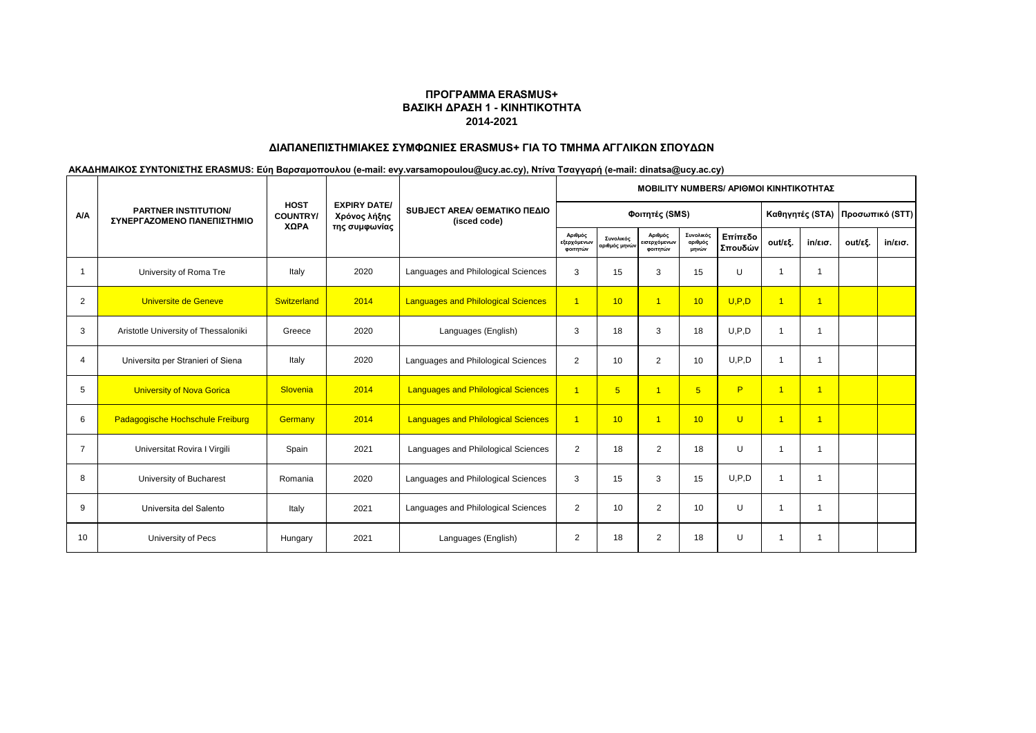# **ΔΙΑΠΑΝΕΠΙΣΤΗΜΙΑΚΕΣ ΣΥΜΦΩΝΙΕΣ ERASMUS+ ΓΙΑ ΤΟ ΤΜΗΜΑ ΑΓΓΛΙΚΩΝ ΣΠΟΥΔΩΝ**

|                |                                                           |                                       |                                                      |                                              | <b>MOBILITY NUMBERS/ APIOMOI KINHTIKOTHTAZ</b> |                            |                                     |                               |                    |                         |                   |         |                   |
|----------------|-----------------------------------------------------------|---------------------------------------|------------------------------------------------------|----------------------------------------------|------------------------------------------------|----------------------------|-------------------------------------|-------------------------------|--------------------|-------------------------|-------------------|---------|-------------------|
| <b>A/A</b>     | <b>PARTNER INSTITUTION/</b><br>ΣΥΝΕΡΓΑΖΟΜΕΝΟ ΠΑΝΕΠΙΣΤΗΜΙΟ | <b>HOST</b><br><b>COUNTRY</b><br>XΩPA | <b>EXPIRY DATE/</b><br>Χρόνος λήξης<br>της συμφωνίας | SUBJECT AREA/ GEMATIKO ΠΕΔΙΟ<br>(isced code) |                                                | Φοιτητές (SMS)             |                                     |                               | Καθηγητές (STA)    | Προσωπικό (STT)         |                   |         |                   |
|                |                                                           |                                       |                                                      |                                              | Αριθμός<br>εξερχόμενων<br>φοιτητών             | Συνολικός<br>αριθμός μηνών | Αριθμός<br>εισερχόμενων<br>φοιτητών | Συνολικός<br>αριθμός<br>μηνών | Επίπεδο<br>Σπουδών | out/εξ.                 | $in/\epsilon$ ισ. | out/εξ. | $in/\epsilon$ ισ. |
| -1             | University of Roma Tre                                    | Italy                                 | 2020                                                 | Languages and Philological Sciences          | 3                                              | 15                         | 3                                   | 15                            | U                  |                         | 1                 |         |                   |
| 2              | Universite de Geneve                                      | Switzerland                           | 2014                                                 | <b>Languages and Philological Sciences</b>   | $\overline{1}$                                 | 10                         | $\mathbf{1}$                        | 10                            | U.P.D              | $\overline{\mathbf{1}}$ | $\overline{1}$    |         |                   |
| 3              | Aristotle University of Thessaloniki                      | Greece                                | 2020                                                 | Languages (English)                          | 3                                              | 18                         | 3                                   | 18                            | U.P.D              |                         | 1                 |         |                   |
| 4              | Universita per Stranieri of Siena                         | Italy                                 | 2020                                                 | Languages and Philological Sciences          | 2                                              | 10                         | 2                                   | 10                            | U.P.D              |                         | 1                 |         |                   |
| 5              | <b>University of Nova Gorica</b>                          | Slovenia                              | 2014                                                 | <b>Languages and Philological Sciences</b>   | $\overline{1}$                                 | 5 <sup>5</sup>             | $\overline{1}$                      | $5\overline{5}$               | P                  | $\overline{1}$          | $\overline{1}$    |         |                   |
| 6              | Padagogische Hochschule Freiburg                          | Germany                               | 2014                                                 | <b>Languages and Philological Sciences</b>   | $\mathbf{1}$                                   | 10                         | $\overline{1}$                      | 10                            | $\cup$             | $\overline{1}$          | $\overline{1}$    |         |                   |
| $\overline{7}$ | Universitat Rovira I Virgili                              | Spain                                 | 2021                                                 | Languages and Philological Sciences          | $\overline{2}$                                 | 18                         | 2                                   | 18                            | U                  |                         | -1                |         |                   |
| 8              | University of Bucharest                                   | Romania                               | 2020                                                 | Languages and Philological Sciences          | 3                                              | 15                         | 3                                   | 15                            | U.P.D              |                         | 1                 |         |                   |
| 9              | Universita del Salento                                    | Italy                                 | 2021                                                 | Languages and Philological Sciences          | $\overline{2}$                                 | 10                         | 2                                   | 10                            | U                  |                         | 1                 |         |                   |
| 10             | University of Pecs                                        | Hungary                               | 2021                                                 | Languages (English)                          | $\overline{2}$                                 | 18                         | 2                                   | 18                            | U                  |                         | 1                 |         |                   |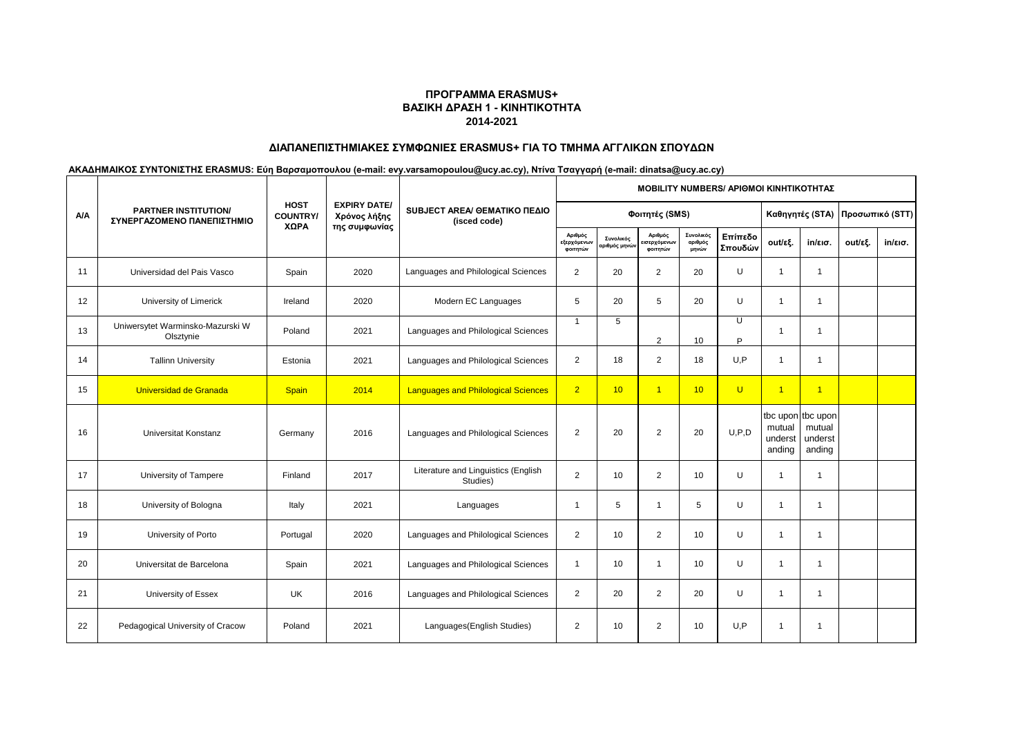# **ΔΙΑΠΑΝΕΠΙΣΤΗΜΙΑΚΕΣ ΣΥΜΦΩΝΙΕΣ ERASMUS+ ΓΙΑ ΤΟ ΤΜΗΜΑ ΑΓΓΛΙΚΩΝ ΣΠΟΥΔΩΝ**

|     |                                                           |                                |                                     |                                                 |                                    |                           |                                    | <b>ΜΟΒΙLITY NUMBERS/ ΑΡΙΘΜΟΙ ΚΙΝΗΤΙΚΟΤΗΤΑΣ</b> |                    |                             |                                                  |         |         |
|-----|-----------------------------------------------------------|--------------------------------|-------------------------------------|-------------------------------------------------|------------------------------------|---------------------------|------------------------------------|------------------------------------------------|--------------------|-----------------------------|--------------------------------------------------|---------|---------|
| A/A | <b>PARTNER INSTITUTION/</b><br>ΣΥΝΕΡΓΑΖΟΜΕΝΟ ΠΑΝΕΠΙΣΤΗΜΙΟ | <b>HOST</b><br><b>COUNTRY/</b> | <b>EXPIRY DATE/</b><br>Χρόνος λήξης | SUBJECT AREA/ GEMATIKO ΠΕΔΙΟ<br>(isced code)    |                                    | Φοιτητές (SMS)            |                                    |                                                |                    |                             | Καθηγητές (STA) Προσωπικό (STT)                  |         |         |
|     |                                                           | XΩPA                           | της συμφωνίας                       |                                                 | Αριθμός<br>εξερχόμενων<br>φοιτητών | Συνολικός<br>αριθμός μηνώ | Αριθμός<br>ισερχόμενων<br>φοιτητών | Συνολικός<br>αριθμός<br>μηνών                  | Επίπεδο<br>Σπουδών | out/εξ.                     | $in/\epsilon$ ισ.                                | out/εξ. | in/εισ. |
| 11  | Universidad del Pais Vasco                                | Spain                          | 2020                                | Languages and Philological Sciences             | 2                                  | 20                        | $\overline{2}$                     | 20                                             | U                  | $\overline{1}$              | $\mathbf{1}$                                     |         |         |
| 12  | University of Limerick                                    | Ireland                        | 2020                                | Modern EC Languages                             | 5                                  | 20                        | 5                                  | 20                                             | U                  | $\overline{1}$              | $\mathbf{1}$                                     |         |         |
| 13  | Uniwersytet Warminsko-Mazurski W<br>Olsztynie             | Poland                         | 2021                                | Languages and Philological Sciences             | $\overline{1}$                     | 5                         | $\overline{2}$                     | 10                                             | U<br>P             | 1                           | $\overline{1}$                                   |         |         |
| 14  | <b>Tallinn University</b>                                 | Estonia                        | 2021                                | Languages and Philological Sciences             | $\overline{2}$                     | 18                        | 2                                  | 18                                             | U.P                | 1                           | -1                                               |         |         |
| 15  | Universidad de Granada                                    | Spain                          | 2014                                | <b>Languages and Philological Sciences</b>      | 2 <sup>1</sup>                     | 10                        | $\overline{1}$                     | 10                                             | $\cup$             | $\overline{1}$              | $\overline{1}$                                   |         |         |
| 16  | <b>Universitat Konstanz</b>                               | Germany                        | 2016                                | Languages and Philological Sciences             | $\overline{2}$                     | 20                        | 2                                  | 20                                             | U.P.D              | mutual<br>underst<br>anding | tbc upon tbc upon<br>mutual<br>underst<br>anding |         |         |
| 17  | University of Tampere                                     | Finland                        | 2017                                | Literature and Linguistics (English<br>Studies) | $\overline{2}$                     | 10                        | $\overline{2}$                     | 10                                             | U                  | $\overline{1}$              | -1                                               |         |         |
| 18  | University of Bologna                                     | Italy                          | 2021                                | Languages                                       | $\overline{1}$                     | 5                         | $\mathbf{1}$                       | 5                                              | U                  | $\overline{1}$              | $\mathbf{1}$                                     |         |         |
| 19  | University of Porto                                       | Portugal                       | 2020                                | Languages and Philological Sciences             | $\overline{2}$                     | 10                        | 2                                  | 10                                             | U                  | $\overline{1}$              | $\overline{1}$                                   |         |         |
| 20  | Universitat de Barcelona                                  | Spain                          | 2021                                | Languages and Philological Sciences             | $\overline{1}$                     | 10                        | $\mathbf{1}$                       | 10                                             | U                  | $\overline{1}$              | $\overline{1}$                                   |         |         |
| 21  | University of Essex                                       | <b>UK</b>                      | 2016                                | Languages and Philological Sciences             | $\overline{2}$                     | 20                        | 2                                  | 20                                             | U                  | $\overline{1}$              | $\overline{1}$                                   |         |         |
| 22  | Pedagogical University of Cracow                          | Poland                         | 2021                                | Languages (English Studies)                     | $\overline{2}$                     | 10                        | 2                                  | 10                                             | U.P                | $\overline{1}$              | $\overline{1}$                                   |         |         |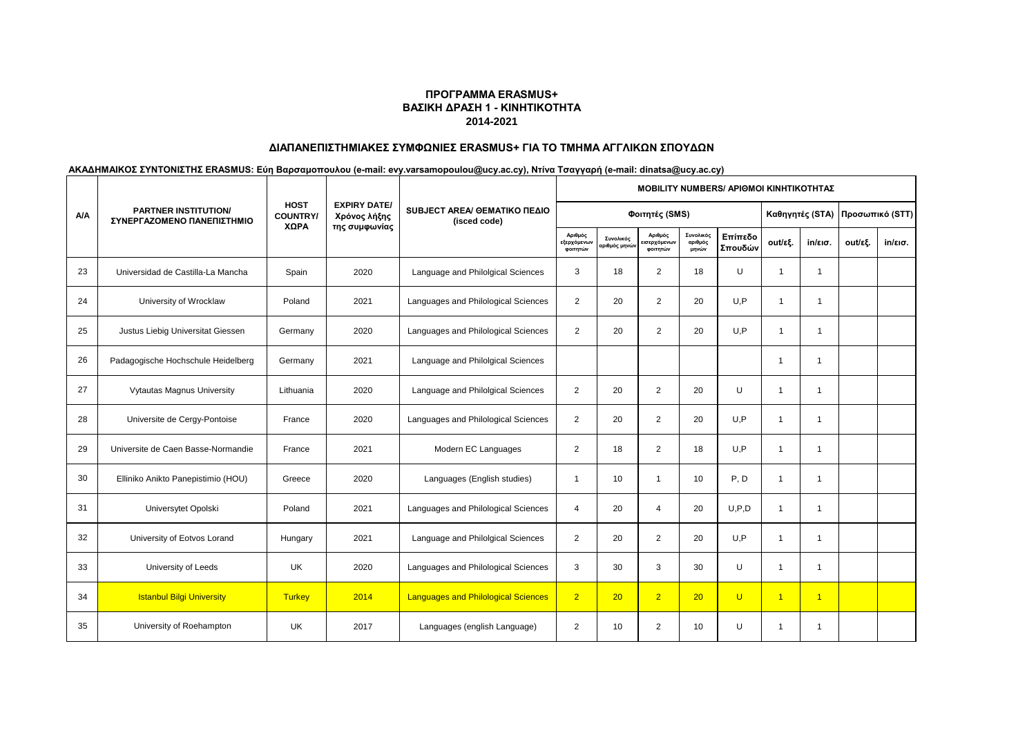## **ΔΙΑΠΑΝΕΠΙΣΤΗΜΙΑΚΕΣ ΣΥΜΦΩΝΙΕΣ ERASMUS+ ΓΙΑ ΤΟ ΤΜΗΜΑ ΑΓΓΛΙΚΩΝ ΣΠΟΥΔΩΝ**

|     |                                                           |                                |                                                      | SUBJECT AREA/ ΘΕΜΑΤΙΚΟ ΠΕΔΙΟ<br>(isced code) | MOBILITY NUMBERS/ ΑΡΙΘΜΟΙ ΚΙΝΗΤΙΚΟΤΗΤΑΣ |                           |                                    |                               |                    |                |                                 |         |         |  |  |
|-----|-----------------------------------------------------------|--------------------------------|------------------------------------------------------|----------------------------------------------|-----------------------------------------|---------------------------|------------------------------------|-------------------------------|--------------------|----------------|---------------------------------|---------|---------|--|--|
| A/A | <b>PARTNER INSTITUTION/</b><br>ΣΥΝΕΡΓΑΖΟΜΕΝΟ ΠΑΝΕΠΙΣΤΗΜΙΟ | <b>HOST</b><br><b>COUNTRY/</b> | <b>EXPIRY DATE/</b><br>Χρόνος λήξης<br>της συμφωνίας |                                              | Φοιτητές (SMS)                          |                           |                                    |                               |                    |                | Καθηγητές (STA) Προσωπικό (STT) |         |         |  |  |
|     |                                                           | ΧΩΡΑ                           |                                                      |                                              | Αριθμός<br>εξερχόμενων<br>φοιτητών      | Συνολικός<br>ριθμός μηνών | Αριθμός<br>ισερχόμενων<br>φοιτητών | Συνολικός<br>αριθμός<br>μηνών | Επίπεδο<br>Σπουδών | out/εξ.        | $in/\epsilon$ ισ.               | out/εξ. | in/εισ. |  |  |
| 23  | Universidad de Castilla-La Mancha                         | Spain                          | 2020                                                 | Language and Philolgical Sciences            | 3                                       | 18                        | $\overline{2}$                     | 18                            | U                  | $\overline{1}$ | $\mathbf 1$                     |         |         |  |  |
| 24  | University of Wrocklaw                                    | Poland                         | 2021                                                 | Languages and Philological Sciences          | $\overline{2}$                          | 20                        | $\overline{2}$                     | 20                            | U.P                | 1              | $\mathbf 1$                     |         |         |  |  |
| 25  | Justus Liebig Universitat Giessen                         | Germany                        | 2020                                                 | Languages and Philological Sciences          | $\overline{2}$                          | 20                        | $\overline{2}$                     | 20                            | U.P                | $\overline{1}$ | $\mathbf 1$                     |         |         |  |  |
| 26  | Padagogische Hochschule Heidelberg                        | Germany                        | 2021                                                 | Language and Philolgical Sciences            |                                         |                           |                                    |                               |                    | 1              | 1                               |         |         |  |  |
| 27  | Vytautas Magnus University                                | Lithuania                      | 2020                                                 | Language and Philolgical Sciences            | 2                                       | 20                        | 2                                  | 20                            | U                  | 1              | $\overline{1}$                  |         |         |  |  |
| 28  | Universite de Cergy-Pontoise                              | France                         | 2020                                                 | Languages and Philological Sciences          | $\overline{2}$                          | 20                        | 2                                  | 20                            | U,P                | 1              | $\mathbf 1$                     |         |         |  |  |
| 29  | Universite de Caen Basse-Normandie                        | France                         | 2021                                                 | Modern EC Languages                          | $\overline{2}$                          | 18                        | 2                                  | 18                            | U, P               | 1              | $\overline{1}$                  |         |         |  |  |
| 30  | Elliniko Anikto Panepistimio (HOU)                        | Greece                         | 2020                                                 | Languages (English studies)                  | $\overline{1}$                          | 10                        | $\mathbf{1}$                       | 10                            | P, D               | $\mathbf{1}$   | 1                               |         |         |  |  |
| 31  | Universytet Opolski                                       | Poland                         | 2021                                                 | Languages and Philological Sciences          | $\overline{4}$                          | 20                        | $\overline{4}$                     | 20                            | U.P.D              | $\mathbf{1}$   | -1                              |         |         |  |  |
| 32  | University of Eotvos Lorand                               | Hungary                        | 2021                                                 | Language and Philolgical Sciences            | $\overline{2}$                          | 20                        | 2                                  | 20                            | U.P                | 1              | 1                               |         |         |  |  |
| 33  | University of Leeds                                       | UK                             | 2020                                                 | Languages and Philological Sciences          | 3                                       | 30                        | 3                                  | 30                            | U                  | 1              | 1                               |         |         |  |  |
| 34  | <b>Istanbul Bilgi University</b>                          | <b>Turkey</b>                  | 2014                                                 | <b>Languages and Philological Sciences</b>   | $\overline{2}$                          | 20                        | $\overline{2}$                     | 20                            | $\cup$             | $\overline{1}$ | $\overline{1}$                  |         |         |  |  |
| 35  | University of Roehampton                                  | UK                             | 2017                                                 | Languages (english Language)                 | $\overline{2}$                          | 10                        | 2                                  | 10                            | U                  | 1              | 1                               |         |         |  |  |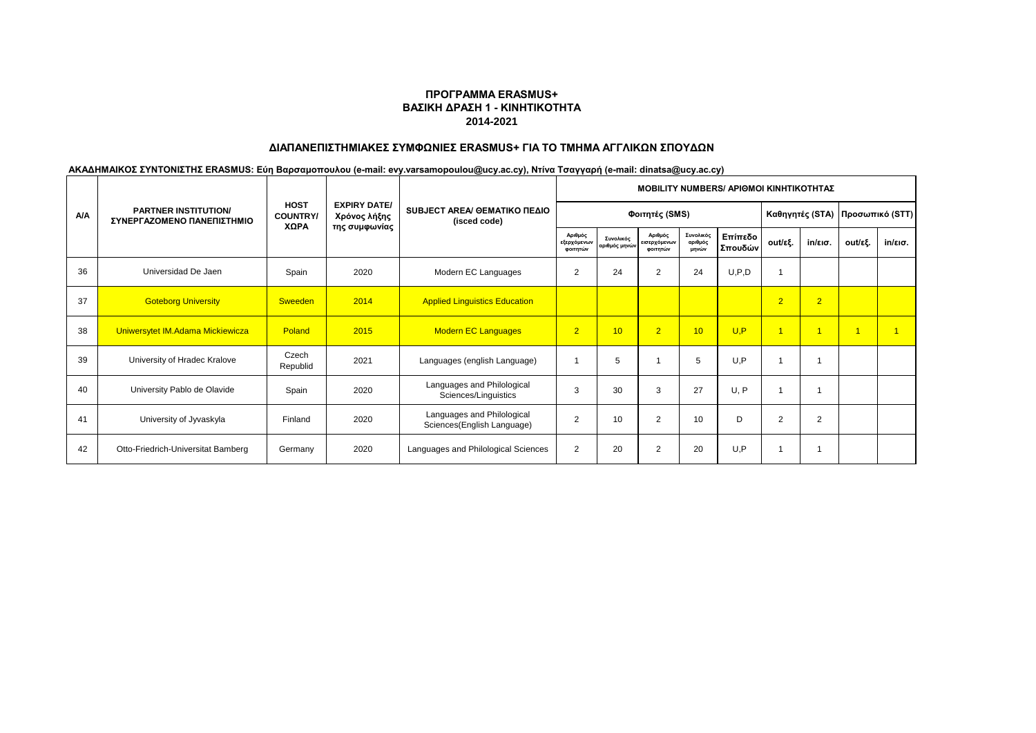# **ΔΙΑΠΑΝΕΠΙΣΤΗΜΙΑΚΕΣ ΣΥΜΦΩΝΙΕΣ ERASMUS+ ΓΙΑ ΤΟ ΤΜΗΜΑ ΑΓΓΛΙΚΩΝ ΣΠΟΥΔΩΝ**

|            |                                                           |                                       |                                                      | SUBJECT AREA/ GEMATIKO ΠΕΔΙΟ<br>(isced code)             | <b>MOBILITY NUMBERS/ APIOMOI KINHTIKOTHTAZ</b> |                            |                                     |                               |                    |                                  |                   |                |                   |  |  |
|------------|-----------------------------------------------------------|---------------------------------------|------------------------------------------------------|----------------------------------------------------------|------------------------------------------------|----------------------------|-------------------------------------|-------------------------------|--------------------|----------------------------------|-------------------|----------------|-------------------|--|--|
| <b>A/A</b> | <b>PARTNER INSTITUTION/</b><br>ΣΥΝΕΡΓΑΖΟΜΕΝΟ ΠΑΝΕΠΙΣΤΗΜΙΟ | <b>HOST</b><br><b>COUNTRY</b><br>XΩPA | <b>EXPIRY DATE/</b><br>Χρόνος λήξης<br>της συμφωνίας |                                                          |                                                | Φοιτητές (SMS)             |                                     |                               |                    | Καθηγητές (STA)  Προσωπικό (STT) |                   |                |                   |  |  |
|            |                                                           |                                       |                                                      |                                                          | Αριθμός<br>εξερχόμενων<br>φοιτητών             | Συνολικός<br>αριθμός μηνών | Αριθμός<br>εισερχόμενων<br>φοιτητών | Συνολικός<br>αριθμός<br>μηνών | Επίπεδο<br>Σπουδών | out/εξ.                          | $in/\epsilon$ ισ. | out/εξ.        | $in/\epsilon$ ισ. |  |  |
| 36         | Universidad De Jaen                                       | Spain                                 | 2020                                                 | Modern EC Languages                                      | $\overline{2}$                                 | 24                         | $\overline{2}$                      | 24                            | U, P, D            |                                  |                   |                |                   |  |  |
| 37         | <b>Goteborg University</b>                                | <b>Sweeden</b>                        | 2014                                                 | <b>Applied Linguistics Education</b>                     |                                                |                            |                                     |                               |                    | $\overline{2}$                   | $\overline{2}$    |                |                   |  |  |
| 38         | Uniwersytet IM.Adama Mickiewicza                          | Poland                                | 2015                                                 | <b>Modern EC Languages</b>                               | 2 <sup>1</sup>                                 | 10                         | $\overline{2}$                      | 10                            | U.P                |                                  | $\overline{1}$    | $\overline{1}$ |                   |  |  |
| 39         | University of Hradec Kralove                              | Czech<br>Republid                     | 2021                                                 | Languages (english Language)                             |                                                | 5                          |                                     | 5                             | U.P                |                                  |                   |                |                   |  |  |
| 40         | University Pablo de Olavide                               | Spain                                 | 2020                                                 | Languages and Philological<br>Sciences/Linguistics       | 3                                              | 30                         | 3                                   | 27                            | U, P               |                                  |                   |                |                   |  |  |
| 41         | University of Jyvaskyla                                   | Finland                               | 2020                                                 | Languages and Philological<br>Sciences(English Language) | 2                                              | 10                         | $\overline{2}$                      | 10                            | D                  | $\overline{2}$                   | 2                 |                |                   |  |  |
| 42         | Otto-Friedrich-Universitat Bamberg                        | Germany                               | 2020                                                 | Languages and Philological Sciences                      | $\overline{2}$                                 | 20                         | $\overline{2}$                      | 20                            | U,P                |                                  |                   |                |                   |  |  |